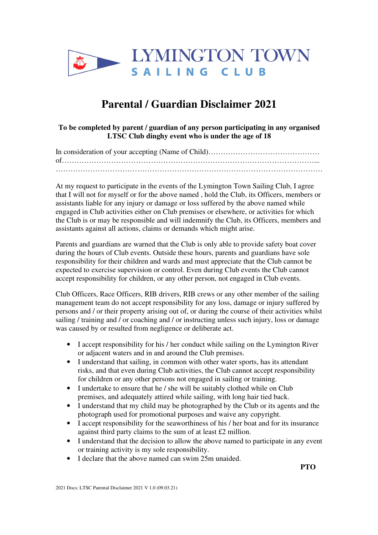

## **Parental / Guardian Disclaimer 2021**

**To be completed by parent / guardian of any person participating in any organised LTSC Club dinghy event who is under the age of 18**

At my request to participate in the events of the Lymington Town Sailing Club, I agree that I will not for myself or for the above named , hold the Club, its Officers, members or assistants liable for any injury or damage or loss suffered by the above named while engaged in Club activities either on Club premises or elsewhere, or activities for which the Club is or may be responsible and will indemnify the Club, its Officers, members and assistants against all actions, claims or demands which might arise.

Parents and guardians are warned that the Club is only able to provide safety boat cover during the hours of Club events. Outside these hours, parents and guardians have sole responsibility for their children and wards and must appreciate that the Club cannot be expected to exercise supervision or control. Even during Club events the Club cannot accept responsibility for children, or any other person, not engaged in Club events.

Club Officers, Race Officers, RIB drivers, RIB crews or any other member of the sailing management team do not accept responsibility for any loss, damage or injury suffered by persons and / or their property arising out of, or during the course of their activities whilst sailing / training and / or coaching and / or instructing unless such injury, loss or damage was caused by or resulted from negligence or deliberate act.

- I accept responsibility for his / her conduct while sailing on the Lymington River or adjacent waters and in and around the Club premises.
- I understand that sailing, in common with other water sports, has its attendant risks, and that even during Club activities, the Club cannot accept responsibility for children or any other persons not engaged in sailing or training.
- I undertake to ensure that he / she will be suitably clothed while on Club premises, and adequately attired while sailing, with long hair tied back.
- I understand that my child may be photographed by the Club or its agents and the photograph used for promotional purposes and waive any copyright.
- I accept responsibility for the seaworthiness of his / her boat and for its insurance against third party claims to the sum of at least £2 million.
- I understand that the decision to allow the above named to participate in any event or training activity is my sole responsibility.
- I declare that the above named can swim 25m unaided.